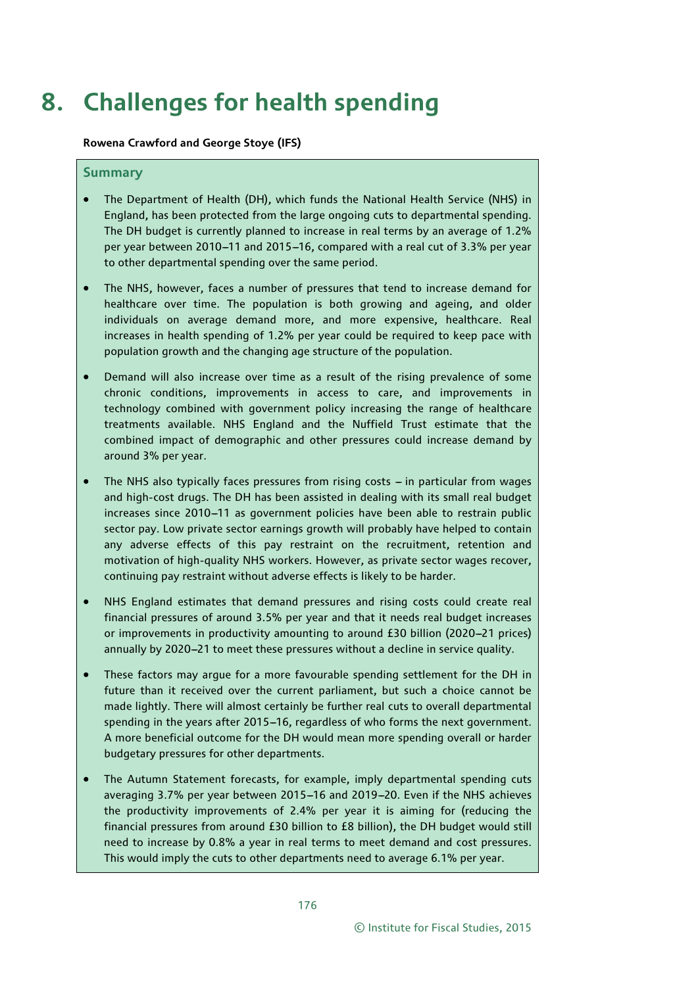# **8. Challenges for health spending**

**Rowena Crawford and George Stoye (IFS)**

#### **Summary**

- The Department of Health (DH), which funds the National Health Service (NHS) in England, has been protected from the large ongoing cuts to departmental spending. The DH budget is currently planned to increase in real terms by an average of 1.2% per year between 2010-11 and 2015-16, compared with a real cut of 3.3% per year to other departmental spending over the same period.
- The NHS, however, faces a number of pressures that tend to increase demand for healthcare over time. The population is both growing and ageing, and older individuals on average demand more, and more expensive, healthcare. Real increases in health spending of 1.2% per year could be required to keep pace with population growth and the changing age structure of the population.
- Demand will also increase over time as a result of the rising prevalence of some chronic conditions, improvements in access to care, and improvements in technology combined with government policy increasing the range of healthcare treatments available. NHS England and the Nuffield Trust estimate that the combined impact of demographic and other pressures could increase demand by around 3% per year.
- The NHS also typically faces pressures from rising costs  $-$  in particular from wages and high-cost drugs. The DH has been assisted in dealing with its small real budget increases since 2010-11 as government policies have been able to restrain public sector pay. Low private sector earnings growth will probably have helped to contain any adverse effects of this pay restraint on the recruitment, retention and motivation of high-quality NHS workers. However, as private sector wages recover, continuing pay restraint without adverse effects is likely to be harder.
- NHS England estimates that demand pressures and rising costs could create real financial pressures of around 3.5% per year and that it needs real budget increases or improvements in productivity amounting to around £30 billion (2020-21 prices) annually by 2020-21 to meet these pressures without a decline in service quality.
- These factors may argue for a more favourable spending settlement for the DH in future than it received over the current parliament, but such a choice cannot be made lightly. There will almost certainly be further real cuts to overall departmental spending in the years after 2015-16, regardless of who forms the next government. A more beneficial outcome for the DH would mean more spending overall or harder budgetary pressures for other departments.
- The Autumn Statement forecasts, for example, imply departmental spending cuts averaging 3.7% per year between 2015-16 and 2019-20. Even if the NHS achieves the productivity improvements of 2.4% per year it is aiming for (reducing the financial pressures from around £30 billion to £8 billion), the DH budget would still need to increase by 0.8% a year in real terms to meet demand and cost pressures. This would imply the cuts to other departments need to average 6.1% per year.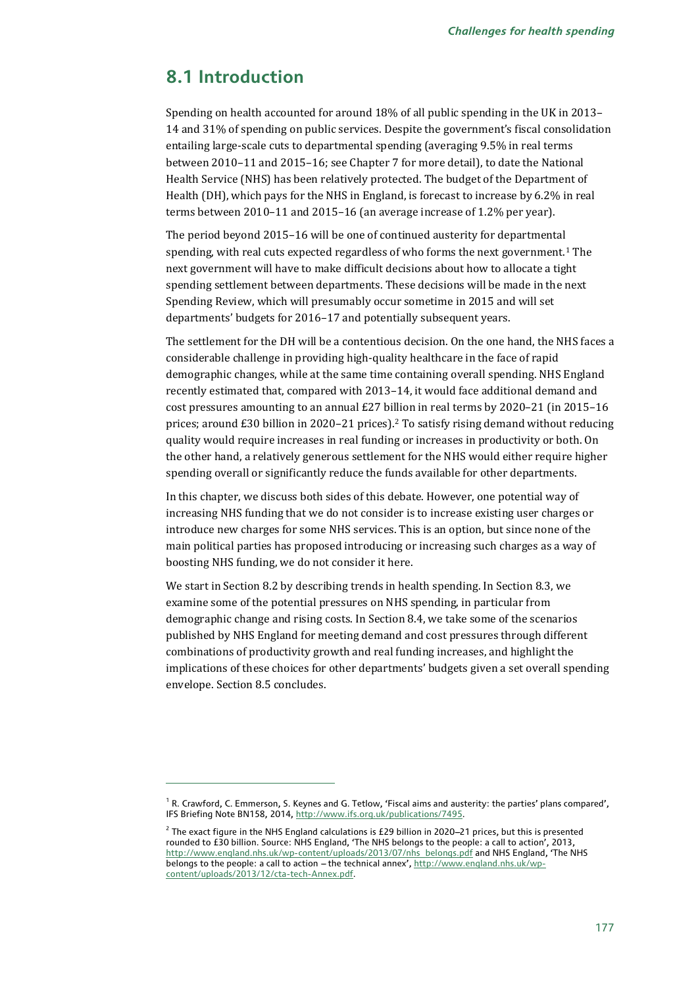## **8.1 Introduction**

j

Spending on health accounted for around 18% of all public spending in the UK in 2013– 14 and 31% of spending on public services. Despite the government's fiscal consolidation entailing large-scale cuts to departmental spending (averaging 9.5% in real terms between 2010–11 and 2015–16; see Chapter 7 for more detail), to date the National Health Service (NHS) has been relatively protected. The budget of the Department of Health (DH), which pays for the NHS in England, is forecast to increase by 6.2% in real terms between 2010–11 and 2015–16 (an average increase of 1.2% per year).

The period beyond 2015–16 will be one of continued austerity for departmental spending, with real cuts expected regardless of who forms the next government.[1](#page-1-0) The next government will have to make difficult decisions about how to allocate a tight spending settlement between departments. These decisions will be made in the next Spending Review, which will presumably occur sometime in 2015 and will set departments' budgets for 2016–17 and potentially subsequent years.

The settlement for the DH will be a contentious decision. On the one hand, the NHS faces a considerable challenge in providing high-quality healthcare in the face of rapid demographic changes, while at the same time containing overall spending. NHS England recently estimated that, compared with 2013–14, it would face additional demand and cost pressures amounting to an annual £27 billion in real terms by 2020–21 (in 2015–16 prices; around  $\pounds 30$  billion in [2](#page-1-1)020–21 prices).<sup>2</sup> To satisfy rising demand without reducing quality would require increases in real funding or increases in productivity or both. On the other hand, a relatively generous settlement for the NHS would either require higher spending overall or significantly reduce the funds available for other departments.

In this chapter, we discuss both sides of this debate. However, one potential way of increasing NHS funding that we do not consider is to increase existing user charges or introduce new charges for some NHS services. This is an option, but since none of the main political parties has proposed introducing or increasing such charges as a way of boosting NHS funding, we do not consider it here.

We start in Section 8.2 by describing trends in health spending. In Section 8.3, we examine some of the potential pressures on NHS spending, in particular from demographic change and rising costs. In Section 8.4, we take some of the scenarios published by NHS England for meeting demand and cost pressures through different combinations of productivity growth and real funding increases, and highlight the implications of these choices for other departments' budgets given a set overall spending envelope. Section 8.5 concludes.

<span id="page-1-0"></span> $^{\text{1}}$  R. Crawford, C. Emmerson, S. Keynes and G. Tetlow, 'Fiscal aims and austerity: the parties' plans compared', IFS Briefing Note BN158, 2014[, http://www.ifs.org.uk/publications/7495.](http://www.ifs.org.uk/publications/7495)

<span id="page-1-1"></span> $<sup>2</sup>$  The exact figure in the NHS England calculations is £29 billion in 2020–21 prices, but this is presented</sup> rounded to £30 billion. Source: NHS England, 'The NHS belongs to the people: a call to action', 2013, [http://www.england.nhs.uk/wp-content/uploads/2013/07/nhs\\_belongs.pdf](http://www.england.nhs.uk/wp-content/uploads/2013/07/nhs_belongs.pdf) and NHS England, 'The NHS belongs to the people: a call to action - the technical annex'[, http://www.england.nhs.uk/wp](http://www.england.nhs.uk/wp-content/uploads/2013/12/cta-tech-Annex.pdf)[content/uploads/2013/12/cta-tech-Annex.pdf.](http://www.england.nhs.uk/wp-content/uploads/2013/12/cta-tech-Annex.pdf)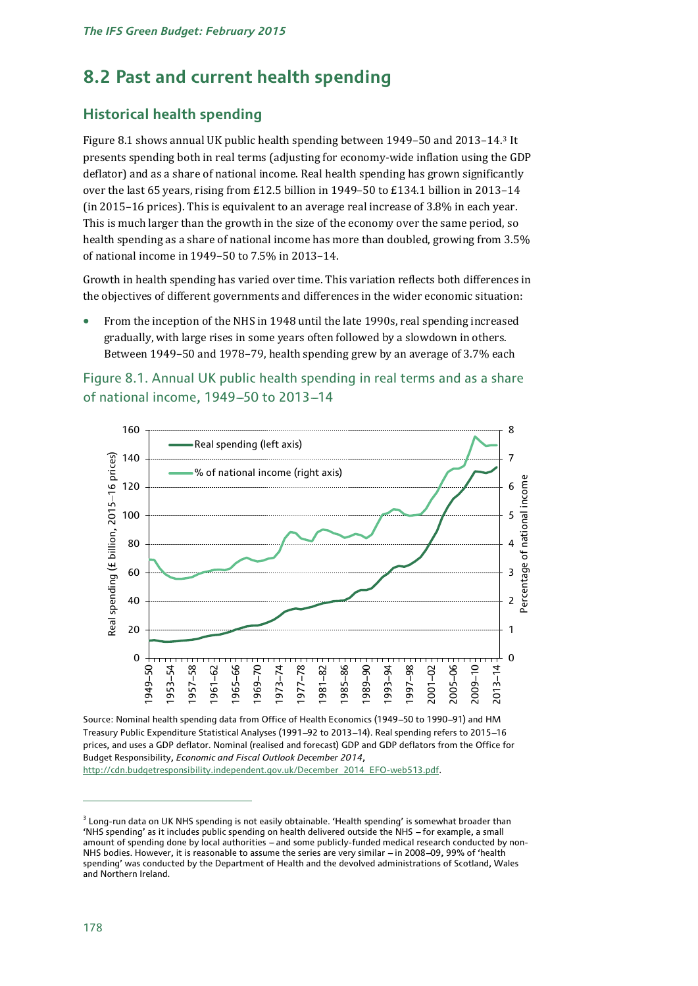## **8.2 Past and current health spending**

## **Historical health spending**

Figure 8.1 shows annual UK public health spending between 1949–50 and 2013–14.[3](#page-2-0) It presents spending both in real terms (adjusting for economy-wide inflation using the GDP deflator) and as a share of national income. Real health spending has grown significantly over the last 65 years, rising from £12.5 billion in 1949–50 to £134.1 billion in 2013–14 (in 2015–16 prices). This is equivalent to an average real increase of 3.8% in each year. This is much larger than the growth in the size of the economy over the same period, so health spending as a share of national income has more than doubled, growing from 3.5% of national income in 1949–50 to 7.5% in 2013–14.

Growth in health spending has varied over time. This variation reflects both differences in the objectives of different governments and differences in the wider economic situation:

• From the inception of the NHS in 1948 until the late 1990s, real spending increased gradually, with large rises in some years often followed by a slowdown in others. Between 1949–50 and 1978–79, health spending grew by an average of 3.7% each





Source: Nominal health spending data from Office of Health Economics (1949-50 to 1990-91) and HM Treasury Public Expenditure Statistical Analyses (1991-92 to 2013-14). Real spending refers to 2015-16 prices, and uses a GDP deflator. Nominal (realised and forecast) GDP and GDP deflators from the Office for Budget Responsibility, *Economic and Fiscal Outlook December 2014*,

[http://cdn.budgetresponsibility.independent.gov.uk/December\\_2014\\_EFO-web513.pdf.](http://cdn.budgetresponsibility.independent.gov.uk/December_2014_EFO-web513.pdf)

<span id="page-2-0"></span> $3$  Long-run data on UK NHS spending is not easily obtainable. 'Health spending' is somewhat broader than 'NHS spending' as it includes public spending on health delivered outside the NHS -- for example, a small amount of spending done by local authorities - and some publicly-funded medical research conducted by non-NHS bodies. However, it is reasonable to assume the series are very similar - in 2008-09, 99% of 'health spending' was conducted by the Department of Health and the devolved administrations of Scotland, Wales and Northern Ireland.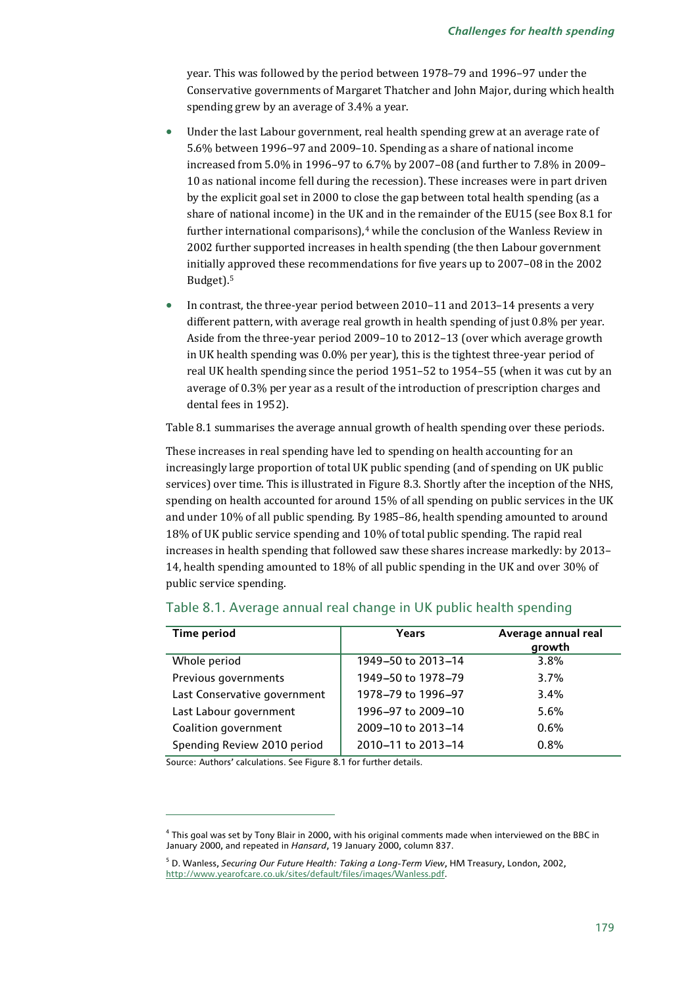year. This was followed by the period between 1978–79 and 1996–97 under the Conservative governments of Margaret Thatcher and John Major, during which health spending grew by an average of 3.4% a year.

- Under the last Labour government, real health spending grew at an average rate of 5.6% between 1996–97 and 2009–10. Spending as a share of national income increased from 5.0% in 1996–97 to 6.7% by 2007–08 (and further to 7.8% in 2009– 10 as national income fell during the recession). These increases were in part driven by the explicit goal set in 2000 to close the gap between total health spending (as a share of national income) in the UK and in the remainder of the EU15 (see Box 8.1 for further international comparisons), $4$  while the conclusion of the Wanless Review in 2002 further supported increases in health spending (the then Labour government initially approved these recommendations for five years up to 2007–08 in the 2002 Budget).[5](#page-3-1)
- In contrast, the three-year period between 2010–11 and 2013–14 presents a very different pattern, with average real growth in health spending of just 0.8% per year. Aside from the three-year period 2009–10 to 2012–13 (over which average growth in UK health spending was 0.0% per year), this is the tightest three-year period of real UK health spending since the period 1951–52 to 1954–55 (when it was cut by an average of 0.3% per year as a result of the introduction of prescription charges and dental fees in 1952).

Table 8.1 summarises the average annual growth of health spending over these periods.

These increases in real spending have led to spending on health accounting for an increasingly large proportion of total UK public spending (and of spending on UK public services) over time. This is illustrated in Figure 8.3. Shortly after the inception of the NHS, spending on health accounted for around 15% of all spending on public services in the UK and under 10% of all public spending. By 1985–86, health spending amounted to around 18% of UK public service spending and 10% of total public spending. The rapid real increases in health spending that followed saw these shares increase markedly: by 2013– 14, health spending amounted to 18% of all public spending in the UK and over 30% of public service spending.

| Time period                  | Years              | Average annual real<br>growth |  |  |
|------------------------------|--------------------|-------------------------------|--|--|
| Whole period                 | 1949-50 to 2013-14 | 3.8%                          |  |  |
| Previous governments         | 1949-50 to 1978-79 | 3.7%                          |  |  |
| Last Conservative government | 1978-79 to 1996-97 | $3.4\%$                       |  |  |
| Last Labour government       | 1996-97 to 2009-10 | 5.6%                          |  |  |
| Coalition government         | 2009-10 to 2013-14 | 0.6%                          |  |  |
| Spending Review 2010 period  | 2010-11 to 2013-14 | 0.8%                          |  |  |

#### Table 8.1. Average annual real change in UK public health spending

Source: Authors' calculations. See Figure 8.1 for further details.

<span id="page-3-0"></span><sup>4</sup> This goal was set by Tony Blair in 2000, with his original comments made when interviewed on the BBC in January 2000, and repeated in *Hansard*, 19 January 2000, column 837.

<span id="page-3-1"></span><sup>5</sup> D. Wanless, *Securing Our Future Health: Taking a Long-Term View*, HM Treasury, London, 2002, http://www.yearofcare.co.uk/sites/default/files/images/Wanless.pdf.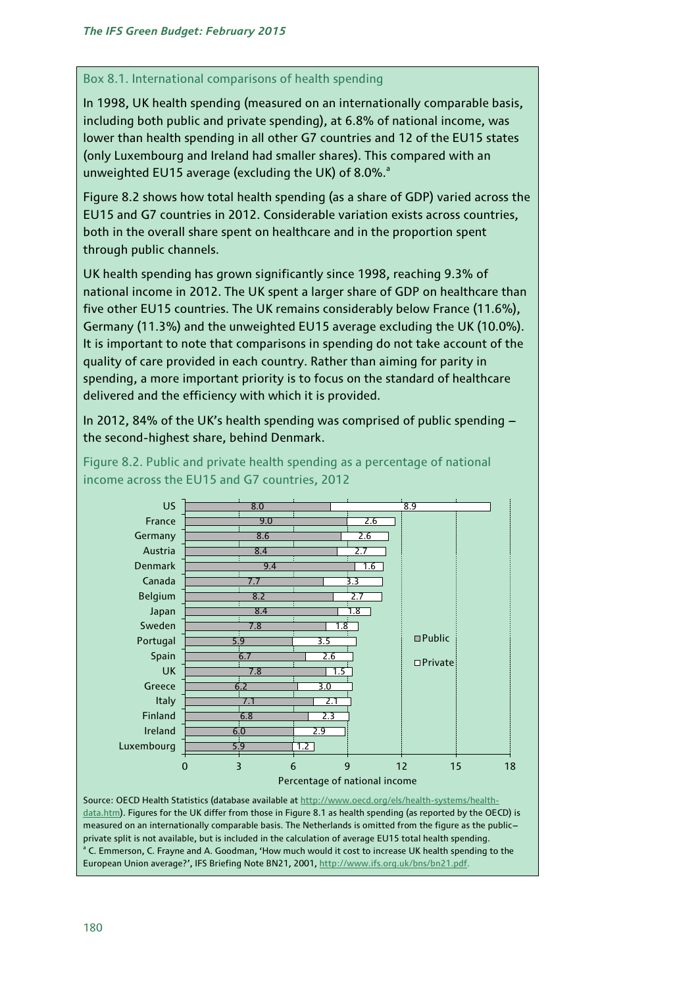## Box 8.1. International comparisons of health spending

In 1998, UK health spending (measured on an internationally comparable basis, including both public and private spending), at 6.8% of national income, was lower than health spending in all other G7 countries and 12 of the EU15 states (only Luxembourg and Ireland had smaller shares). This compared with an unweighted EU15 average (excluding the UK) of 8.0%.<sup>a</sup>

Figure 8.2 shows how total health spending (as a share of GDP) varied across the EU15 and G7 countries in 2012. Considerable variation exists across countries, both in the overall share spent on healthcare and in the proportion spent through public channels.

UK health spending has grown significantly since 1998, reaching 9.3% of national income in 2012. The UK spent a larger share of GDP on healthcare than five other EU15 countries. The UK remains considerably below France (11.6%), Germany (11.3%) and the unweighted EU15 average excluding the UK (10.0%). It is important to note that comparisons in spending do not take account of the quality of care provided in each country. Rather than aiming for parity in spending, a more important priority is to focus on the standard of healthcare delivered and the efficiency with which it is provided.

In 2012, 84% of the UK's health spending was comprised of public spending  $$ the second-highest share, behind Denmark.



Figure 8.2. Public and private health spending as a percentage of national income across the EU15 and G7 countries, 2012

Source: OECD Health Statistics (database available at [http://www.oecd.org/els/health-systems/health](http://www.oecd.org/els/health-systems/health-data.htm)[data.htm\).](http://www.oecd.org/els/health-systems/health-data.htm) Figures for the UK differ from those in Figure 8.1 as health spending (as reported by the OECD) is measured on an internationally comparable basis. The Netherlands is omitted from the figure as the public-private split is not available, but is included in the calculation of average EU15 total health spending.<br><sup>a</sup> C. Emmerson, C. Frayne and A. Goodman, 'How much would it cost to increase UK health spending to the European Union average?', IFS Briefing Note BN21, 2001, [http://www.ifs.org.uk/bns/bn21.pdf.](http://www.ifs.org.uk/bns/bn21.pdf)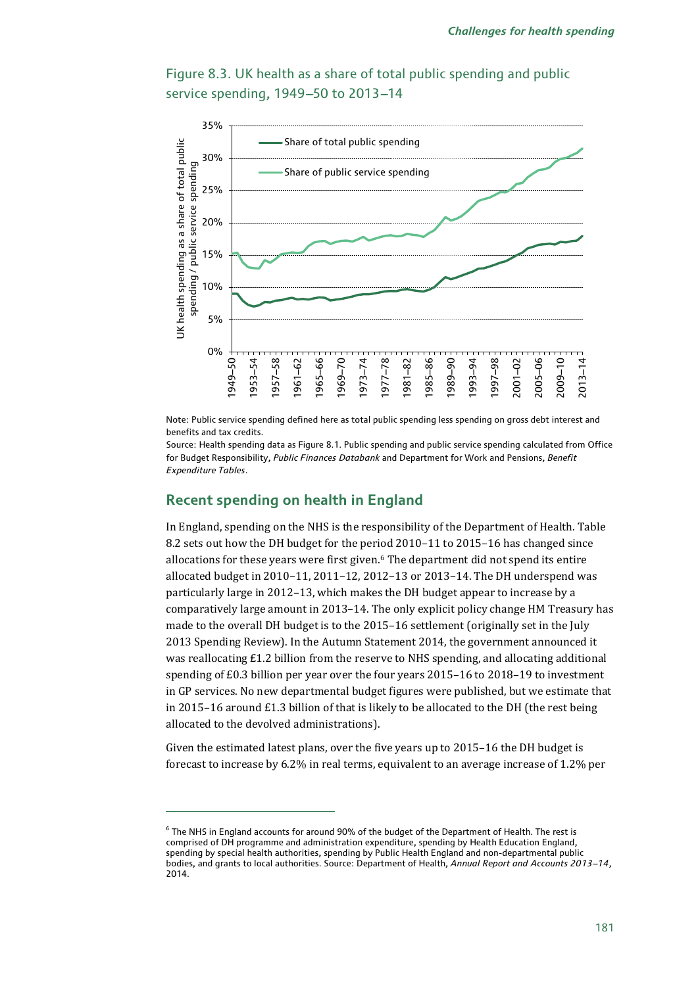

Figure 8.3. UK health as a share of total public spending and public service spending, 1949-50 to 2013-14

Note: Public service spending defined here as total public spending less spending on gross debt interest and benefits and tax credits.

Source: Health spending data as Figure 8.1. Public spending and public service spending calculated from Office for Budget Responsibility, *Public Finances Databank* and Department for Work and Pensions, *Benefit Expenditure Tables*.

## **Recent spending on health in England**

j

In England, spending on the NHS is the responsibility of the Department of Health. Table 8.2 sets out how the DH budget for the period 2010–11 to 2015–16 has changed since allocations for these years were first given.[6](#page-5-0) The department did not spend its entire allocated budget in 2010–11, 2011–12, 2012–13 or 2013–14. The DH underspend was particularly large in 2012–13, which makes the DH budget appear to increase by a comparatively large amount in 2013–14. The only explicit policy change HM Treasury has made to the overall DH budget is to the 2015–16 settlement (originally set in the July 2013 Spending Review). In the Autumn Statement 2014, the government announced it was reallocating £1.2 billion from the reserve to NHS spending, and allocating additional spending of £0.3 billion per year over the four years 2015–16 to 2018–19 to investment in GP services. No new departmental budget figures were published, but we estimate that in 2015–16 around £1.3 billion of that is likely to be allocated to the DH (the rest being allocated to the devolved administrations).

Given the estimated latest plans, over the five years up to 2015–16 the DH budget is forecast to increase by 6.2% in real terms, equivalent to an average increase of 1.2% per

<span id="page-5-0"></span> $6$  The NHS in England accounts for around 90% of the budget of the Department of Health. The rest is comprised of DH programme and administration expenditure, spending by Health Education England, spending by special health authorities, spending by Public Health England and non-departmental public bodies, and grants to local authorities. Source: Department of Health, *Annual Report and Accounts 2013--14*, 2014.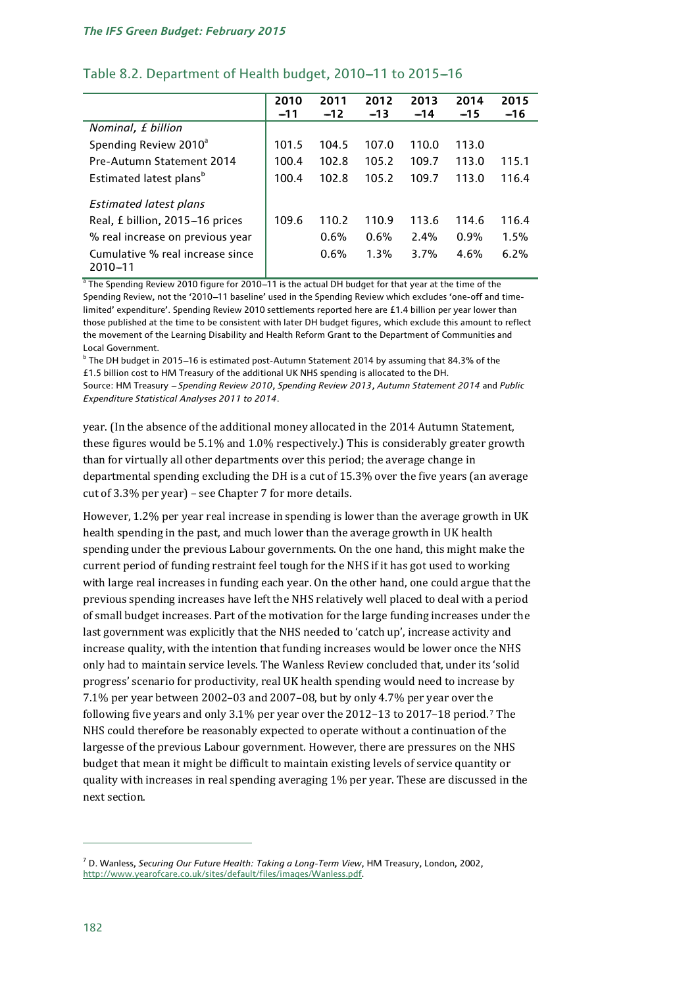|                                             | 2010<br>$-11$ | 2011<br>$-12$ | 2012<br>$-13$ | 2013<br>$-14$ | 2014<br>$-15$ | 2015<br>$-16$ |
|---------------------------------------------|---------------|---------------|---------------|---------------|---------------|---------------|
| Nominal, £ billion                          |               |               |               |               |               |               |
| Spending Review 2010 <sup>a</sup>           | 101.5         | 104.5         | 107.0         | 110.0         | 113.0         |               |
| Pre-Autumn Statement 2014                   | 100.4         | 102.8         | 105.2         | 109.7         | 113.0         | 115.1         |
| Estimated latest plans <sup>b</sup>         | 100.4         | 102.8         | 105.2         | 109.7         | 113.0         | 116.4         |
| <b>Estimated latest plans</b>               |               |               |               |               |               |               |
| Real, £ billion, 2015-16 prices             | 109.6         | 110.2         | 110.9         | 113.6         | 114.6         | 116.4         |
| % real increase on previous year            |               | 0.6%          | 0.6%          | 2.4%          | 0.9%          | 1.5%          |
| Cumulative % real increase since<br>2010-11 |               | 0.6%          | 1.3%          | 3.7%          | 4.6%          | 6.2%          |

## Table 8.2. Department of Health budget, 2010-11 to 2015-16

<sup>a</sup> The Spending Review 2010 figure for 2010-11 is the actual DH budget for that year at the time of the Spending Review, not the '2010-11 baseline' used in the Spending Review which excludes 'one-off and timelimited' expenditure'. Spending Review 2010 settlements reported here are £1.4 billion per year lower than those published at the time to be consistent with later DH budget figures, which exclude this amount to reflect the movement of the Learning Disability and Health Reform Grant to the Department of Communities and Local Government.

 $^{\rm b}$  The DH budget in 2015-16 is estimated post-Autumn Statement 2014 by assuming that 84.3% of the £1.5 billion cost to HM Treasury of the additional UK NHS spending is allocated to the DH.

Source: HM Treasury - Spending Review 2010, Spending Review 2013, Autumn Statement 2014 and Public *Expenditure Statistical Analyses 2011 to 2014*.

year. (In the absence of the additional money allocated in the 2014 Autumn Statement, these figures would be 5.1% and 1.0% respectively.) This is considerably greater growth than for virtually all other departments over this period; the average change in departmental spending excluding the DH is a cut of 15.3% over the five years (an average cut of 3.3% per year) – see Chapter 7 for more details.

However, 1.2% per year real increase in spending is lower than the average growth in UK health spending in the past, and much lower than the average growth in UK health spending under the previous Labour governments. On the one hand, this might make the current period of funding restraint feel tough for the NHS if it has got used to working with large real increases in funding each year. On the other hand, one could argue that the previous spending increases have left the NHS relatively well placed to deal with a period of small budget increases. Part of the motivation for the large funding increases under the last government was explicitly that the NHS needed to 'catch up', increase activity and increase quality, with the intention that funding increases would be lower once the NHS only had to maintain service levels. The Wanless Review concluded that, under its 'solid progress' scenario for productivity, real UK health spending would need to increase by 7.1% per year between 2002–03 and 2007–08, but by only 4.7% per year over th[e](#page-6-0)  following five years and only 3.1% per year over the 2012–13 to 2017–18 period.7 The NHS could therefore be reasonably expected to operate without a continuation of the largesse of the previous Labour government. However, there are pressures on the NHS budget that mean it might be difficult to maintain existing levels of service quantity or quality with increases in real spending averaging 1% per year. These are discussed in the next section.

<span id="page-6-0"></span><sup>7</sup> D. Wanless, *Securing Our Future Health: Taking a Long-Term View*, HM Treasury, London, 2002, [http://www.yearofcare.co.uk/sites/default/files/images/Wanless.pdf.](http://www.yearofcare.co.uk/sites/default/files/images/Wanless.pdf)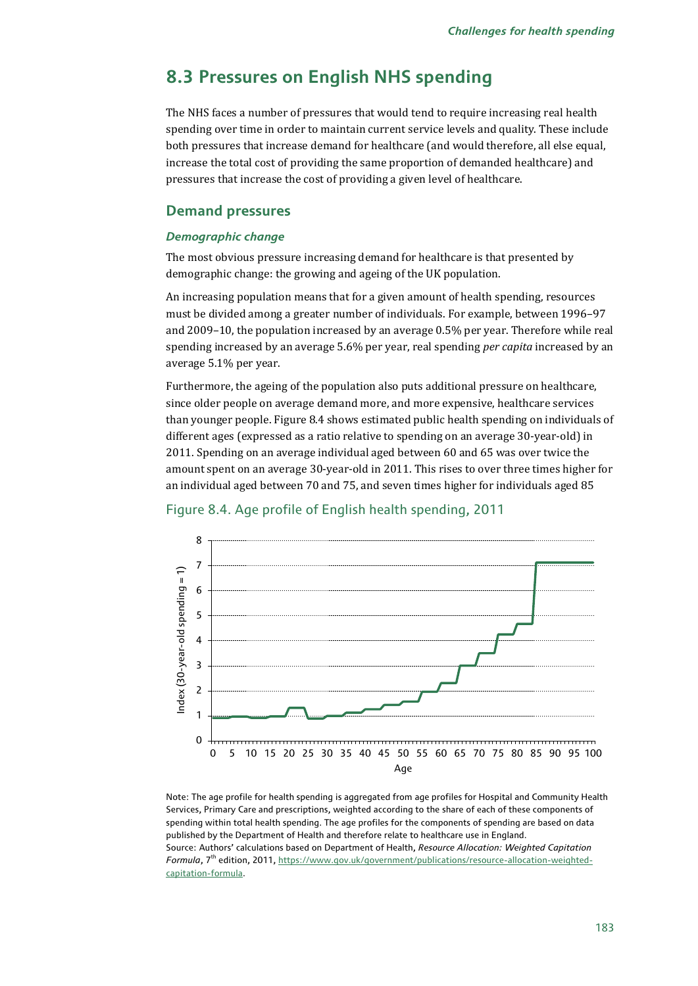## **8.3 Pressures on English NHS spending**

The NHS faces a number of pressures that would tend to require increasing real health spending over time in order to maintain current service levels and quality. These include both pressures that increase demand for healthcare (and would therefore, all else equal, increase the total cost of providing the same proportion of demanded healthcare) and pressures that increase the cost of providing a given level of healthcare.

#### **Demand pressures**

#### *Demographic change*

The most obvious pressure increasing demand for healthcare is that presented by demographic change: the growing and ageing of the UK population.

An increasing population means that for a given amount of health spending, resources must be divided among a greater number of individuals. For example, between 1996–97 and 2009–10, the population increased by an average 0.5% per year. Therefore while real spending increased by an average 5.6% per year, real spending *per capita* increased by an average 5.1% per year.

Furthermore, the ageing of the population also puts additional pressure on healthcare, since older people on average demand more, and more expensive, healthcare services than younger people. Figure 8.4 shows estimated public health spending on individuals of different ages (expressed as a ratio relative to spending on an average 30-year-old) in 2011. Spending on an average individual aged between 60 and 65 was over twice the amount spent on an average 30-year-old in 2011. This rises to over three times higher for an individual aged between 70 and 75, and seven times higher for individuals aged 85

![](_page_7_Figure_8.jpeg)

#### Figure 8.4. Age profile of English health spending, 2011

Note: The age profile for health spending is aggregated from age profiles for Hospital and Community Health Services, Primary Care and prescriptions, weighted according to the share of each of these components of spending within total health spending. The age profiles for the components of spending are based on data published by the Department of Health and therefore relate to healthcare use in England. Source: Authors' calculations based on Department of Health, *Resource Allocation: Weighted Capitation Formula*, 7<sup>th</sup> edition, 2011[, https://www.gov.uk/government/publications/resource-allocation-weighted](https://www.gov.uk/government/publications/resource-allocation-weighted-capitation-formula)[capitation-formula.](https://www.gov.uk/government/publications/resource-allocation-weighted-capitation-formula)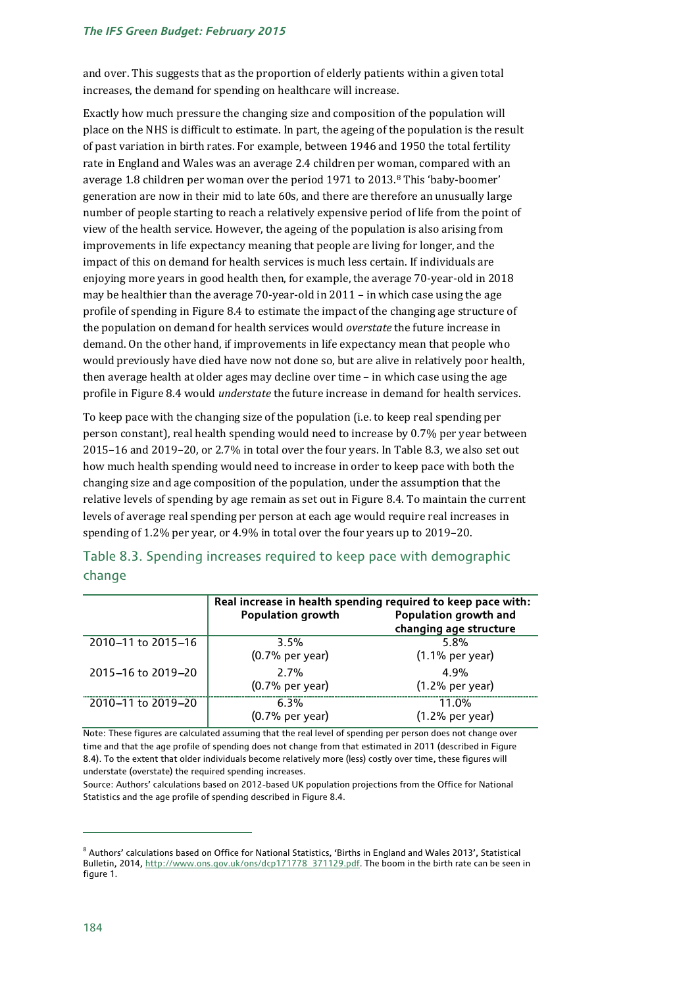#### *The IFS Green Budget: February 2015*

and over. This suggests that as the proportion of elderly patients within a given total increases, the demand for spending on healthcare will increase.

Exactly how much pressure the changing size and composition of the population will place on the NHS is difficult to estimate. In part, the ageing of the population is the result of past variation in birth rates. For example, between 1946 and 1950 the total fertility rate in England and Wales was an average 2.4 children per woman, compared with an average 1.8 children per woman over the period 1971 to 2013.[8](#page-8-0) This 'baby-boomer' generation are now in their mid to late 60s, and there are therefore an unusually large number of people starting to reach a relatively expensive period of life from the point of view of the health service. However, the ageing of the population is also arising from improvements in life expectancy meaning that people are living for longer, and the impact of this on demand for health services is much less certain. If individuals are enjoying more years in good health then, for example, the average 70-year-old in 2018 may be healthier than the average 70-year-old in 2011 – in which case using the age profile of spending in Figure 8.4 to estimate the impact of the changing age structure of the population on demand for health services would *overstate* the future increase in demand. On the other hand, if improvements in life expectancy mean that people who would previously have died have now not done so, but are alive in relatively poor health, then average health at older ages may decline over time – in which case using the age profile in Figure 8.4 would *understate* the future increase in demand for health services.

To keep pace with the changing size of the population (i.e. to keep real spending per person constant), real health spending would need to increase by 0.7% per year between 2015–16 and 2019–20, or 2.7% in total over the four years. In Table 8.3, we also set out how much health spending would need to increase in order to keep pace with both the changing size and age composition of the population, under the assumption that the relative levels of spending by age remain as set out in Figure 8.4. To maintain the current levels of average real spending per person at each age would require real increases in spending of 1.2% per year, or 4.9% in total over the four years up to 2019–20.

|                    | Real increase in health spending required to keep pace with:<br><b>Population growth</b> | Population growth and<br>changing age structure |  |  |
|--------------------|------------------------------------------------------------------------------------------|-------------------------------------------------|--|--|
| 2010-11 to 2015-16 | 3.5%<br>$(0.7%$ per year)                                                                | 5.8%<br>$(1.1%$ per year)                       |  |  |
| 2015-16 to 2019-20 | 2.7%<br>$(0.7%$ per year)                                                                | 4.9%<br>$(1.2%$ per year)                       |  |  |
| 2010-11 to 2019-20 | 6.3%<br>$(0.7%$ per year)                                                                | 11.0%<br>$(1.2%$ per year)                      |  |  |

## Table 8.3. Spending increases required to keep pace with demographic change

Note: These figures are calculated assuming that the real level of spending per person does not change over time and that the age profile of spending does not change from that estimated in 2011 (described in Figure 8.4). To the extent that older individuals become relatively more (less) costly over time, these figures will understate (overstate) the required spending increases.

Source: Authors' calculations based on 2012-based UK population projections from the Office for National Statistics and the age profile of spending described in Figure 8.4.

<span id="page-8-0"></span><sup>8</sup> Authors' calculations based on Office for National Statistics, 'Births in England and Wales 2013', Statistical Bulletin, 2014, [http://www.ons.gov.uk/ons/dcp171778\\_371129.pdf.](http://www.ons.gov.uk/ons/dcp171778_371129.pdf) The boom in the birth rate can be seen in figure 1.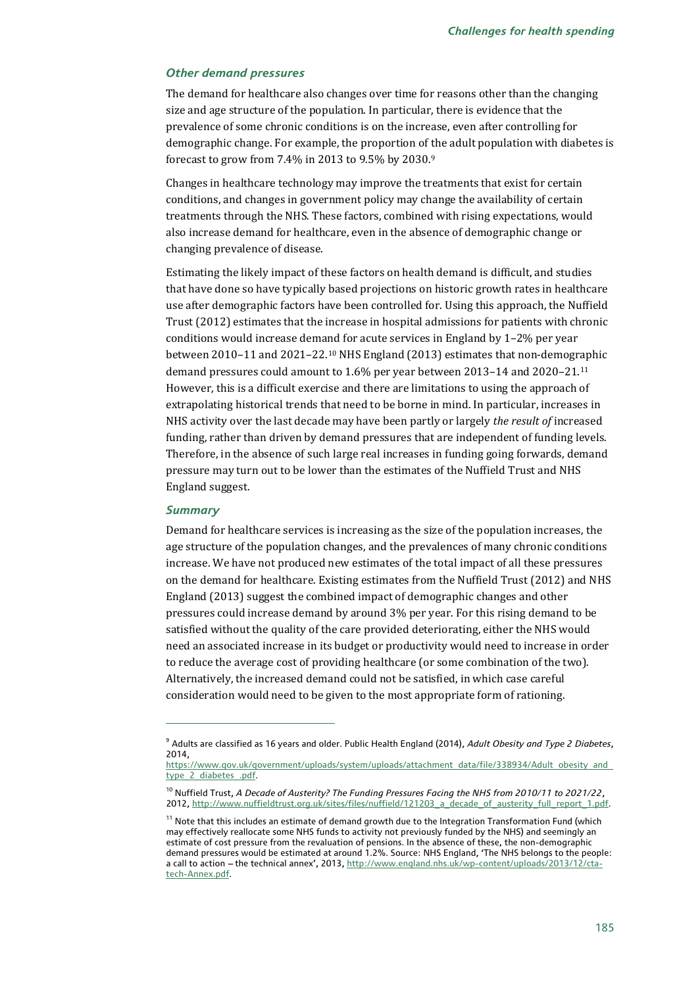#### *Other demand pressures*

The demand for healthcare also changes over time for reasons other than the changing size and age structure of the population. In particular, there is evidence that the prevalence of some chronic conditions is on the increase, even after controlling for demographic change. For example, the proportion of [th](#page-9-0)e adult population with diabetes is forecast to grow from 7.4% in 2013 to 9.5% by 2030.9

Changes in healthcare technology may improve the treatments that exist for certain conditions, and changes in government policy may change the availability of certain treatments through the NHS. These factors, combined with rising expectations, would also increase demand for healthcare, even in the absence of demographic change or changing prevalence of disease.

Estimating the likely impact of these factors on health demand is difficult, and studies that have done so have typically based projections on historic growth rates in healthcare use after demographic factors have been controlled for. Using this approach, the Nuffield Trust (2012) estimates that the increase in hospital admissions for patients with chronic conditions would increase demand for acute services in England by 1–2% per year between 2010–11 and 2021–22.[10](#page-9-1) NHS England (2013) estimates that non-demog[rap](#page-9-2)hic demand pressures could amount to 1.6% per year between 2013–14 and 2020–21.11 However, this is a difficult exercise and there are limitations to using the approach of extrapolating historical trends that need to be borne in mind. In particular, increases in NHS activity over the last decade may have been partly or largely *the result of* increased funding, rather than driven by demand pressures that are independent of funding levels. Therefore, in the absence of such large real increases in funding going forwards, demand pressure may turn out to be lower than the estimates of the Nuffield Trust and NHS England suggest.

#### *Summary*

j

Demand for healthcare services is increasing as the size of the population increases, the age structure of the population changes, and the prevalences of many chronic conditions increase. We have not produced new estimates of the total impact of all these pressures on the demand for healthcare. Existing estimates from the Nuffield Trust (2012) and NHS England (2013) suggest the combined impact of demographic changes and other pressures could increase demand by around 3% per year. For this rising demand to be satisfied without the quality of the care provided deteriorating, either the NHS would need an associated increase in its budget or productivity would need to increase in order to reduce the average cost of providing healthcare (or some combination of the two). Alternatively, the increased demand could not be satisfied, in which case careful consideration would need to be given to the most appropriate form of rationing.

<span id="page-9-0"></span><sup>9</sup> Adults are classified as 16 years and older. Public Health England (2014), *Adult Obesity and Type 2 Diabetes*, 2014,

[https://www.gov.uk/government/uploads/system/uploads/attachment\\_data/file/338934/Adult\\_obesity\\_and\\_](https://www.gov.uk/government/uploads/system/uploads/attachment_data/file/338934/Adult_obesity_and_type_2_diabetes_.pdf) [type\\_2\\_diabetes\\_.pdf.](https://www.gov.uk/government/uploads/system/uploads/attachment_data/file/338934/Adult_obesity_and_type_2_diabetes_.pdf)

<span id="page-9-1"></span><sup>10</sup> Nuffield Trust, *A Decade of Austerity? The Funding Pressures Facing the NHS from 2010/11 to 2021/22*, 2012, http:/[/www.nuffieldtrust.org.uk/sites/files/nuffield/121203\\_a\\_decade\\_of\\_austerity\\_full\\_report\\_1.pdf.](http://www.nuffieldtrust.org.uk/sites/files/nuffield/121203_a_decade_of_austerity_full_report_1.pdf)

<span id="page-9-2"></span> $11$  Note that this includes an estimate of demand growth due to the Integration Transformation Fund (which may effectively reallocate some NHS funds to activity not previously funded by the NHS) and seemingly an estimate of cost pressure from the revaluation of pensions. In the absence of these, the non-demographic demand pressures would be estimated at around 1.2%. Source: NHS England, 'The NHS belongs to the people: a call to action -- the technical annex', 2013, [http://www.england.nhs.uk/wp-content/uploads/2013/12/cta](http://www.england.nhs.uk/wp-content/uploads/2013/12/cta-tech-Annex.pdf)[tech-Annex.pdf.](http://www.england.nhs.uk/wp-content/uploads/2013/12/cta-tech-Annex.pdf)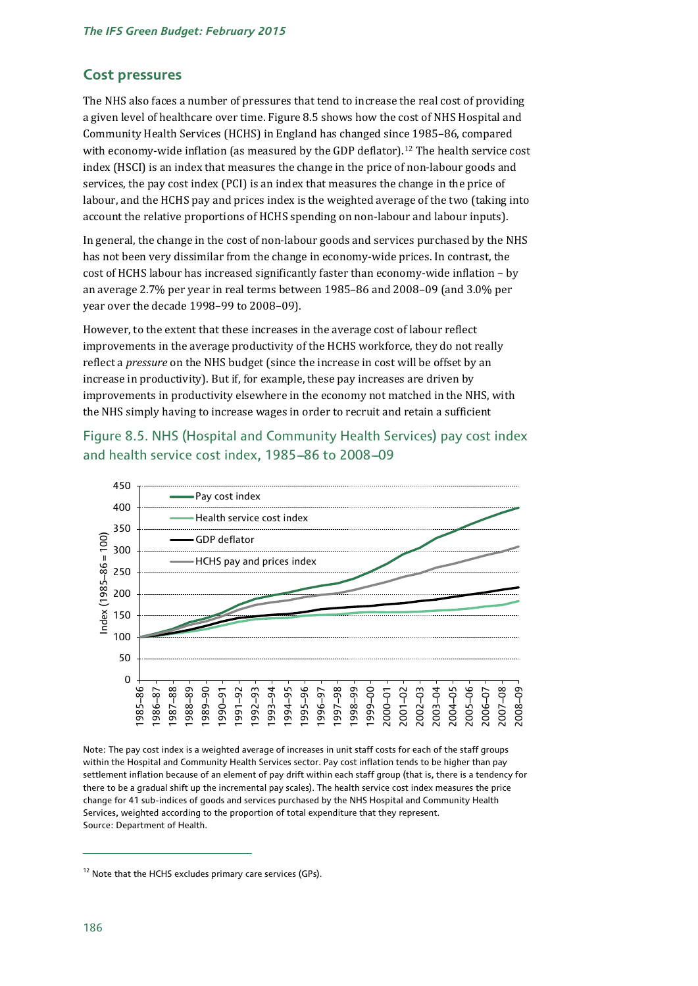#### **Cost pressures**

The NHS also faces a number of pressures that tend to increase the real cost of providing a given level of healthcare over time. Figure 8.5 shows how the cost of NHS Hospital and Community Health Services (HCHS) in England has changed since 1985–86, compared with economy-wide inflation (as measured by the GDP deflator).<sup>[12](#page-10-0)</sup> The health service cost index (HSCI) is an index that measures the change in the price of non-labour goods and services, the pay cost index (PCI) is an index that measures the change in the price of labour, and the HCHS pay and prices index is the weighted average of the two (taking into account the relative proportions of HCHS spending on non-labour and labour inputs).

In general, the change in the cost of non-labour goods and services purchased by the NHS has not been very dissimilar from the change in economy-wide prices. In contrast, the cost of HCHS labour has increased significantly faster than economy-wide inflation – by an average 2.7% per year in real terms between 1985–86 and 2008–09 (and 3.0% per year over the decade 1998–99 to 2008–09).

However, to the extent that these increases in the average cost of labour reflect improvements in the average productivity of the HCHS workforce, they do not really reflect a *pressure* on the NHS budget (since the increase in cost will be offset by an increase in productivity). But if, for example, these pay increases are driven by improvements in productivity elsewhere in the economy not matched in the NHS, with the NHS simply having to increase wages in order to recruit and retain a sufficient

Figure 8.5. NHS (Hospital and Community Health Services) pay cost index and health service cost index, 1985-86 to 2008-09

![](_page_10_Figure_6.jpeg)

Note: The pay cost index is a weighted average of increases in unit staff costs for each of the staff groups within the Hospital and Community Health Services sector. Pay cost inflation tends to be higher than pay settlement inflation because of an element of pay drift within each staff group (that is, there is a tendency for there to be a gradual shift up the incremental pay scales). The health service cost index measures the price change for 41 sub-indices of goods and services purchased by the NHS Hospital and Community Health Services, weighted according to the proportion of total expenditure that they represent. Source: Department of Health.

<span id="page-10-0"></span><sup>&</sup>lt;sup>12</sup> Note that the HCHS excludes primary care services (GPs).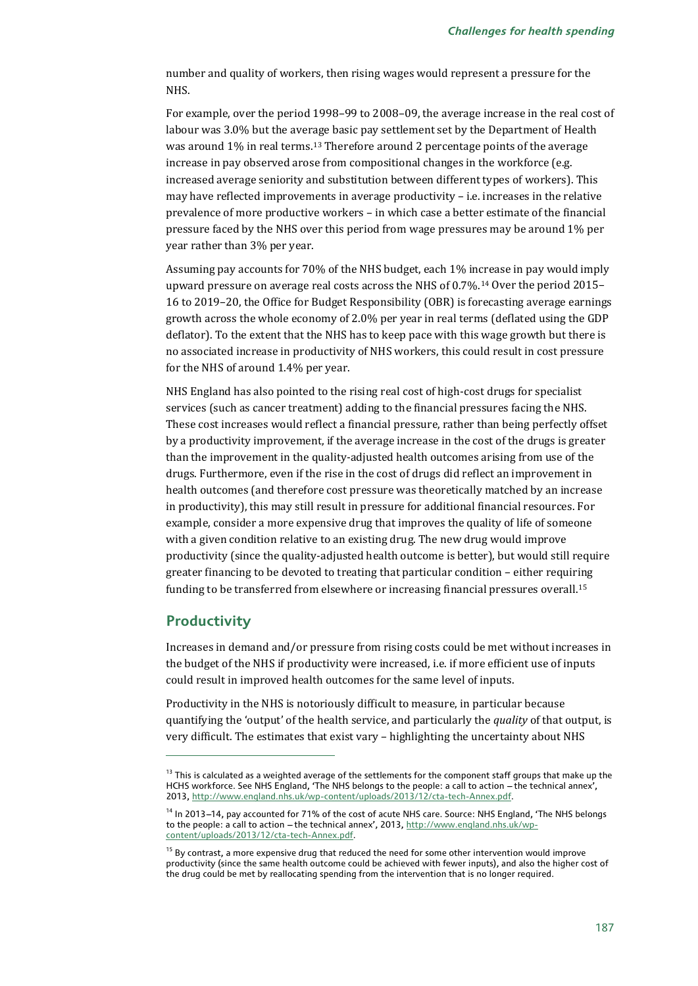number and quality of workers, then rising wages would represent a pressure for the NHS.

For example, over the period 1998–99 to 2008–09, the average increase in the real cost of labour was 3.0% but the average basic pay settlement set by the Department of Health was around 1% in real terms.<sup>[13](#page-11-0)</sup> Therefore around 2 percentage points of the average increase in pay observed arose from compositional changes in the workforce (e.g. increased average seniority and substitution between different types of workers). This may have reflected improvements in average productivity – i.e. increases in the relative prevalence of more productive workers – in which case a better estimate of the financial pressure faced by the NHS over this period from wage pressures may be around 1% per year rather than 3% per year.

Assuming pay accounts for 70% of the NHS budget, each 1% increase in pay would imply upward pressure on average real costs across the NHS of 0.7%.[14](#page-11-1) Over the period 2015– 16 to 2019–20, the Office for Budget Responsibility (OBR) is forecasting average earnings growth across the whole economy of 2.0% per year in real terms (deflated using the GDP deflator). To the extent that the NHS has to keep pace with this wage growth but there is no associated increase in productivity of NHS workers, this could result in cost pressure for the NHS of around 1.4% per year.

NHS England has also pointed to the rising real cost of high-cost drugs for specialist services (such as cancer treatment) adding to the financial pressures facing the NHS. These cost increases would reflect a financial pressure, rather than being perfectly offset by a productivity improvement, if the average increase in the cost of the drugs is greater than the improvement in the quality-adjusted health outcomes arising from use of the drugs. Furthermore, even if the rise in the cost of drugs did reflect an improvement in health outcomes (and therefore cost pressure was theoretically matched by an increase in productivity), this may still result in pressure for additional financial resources. For example, consider a more expensive drug that improves the quality of life of someone with a given condition relative to an existing drug. The new drug would improve productivity (since the quality-adjusted health outcome is better), but would still require greater financing to be devoted to treating that particular condition – either requiring funding to be transferred from elsewhere or increasing financial pressures overall.[15](#page-11-2)

## **Productivity**

j

Increases in demand and/or pressure from rising costs could be met without increases in the budget of the NHS if productivity were increased, i.e. if more efficient use of inputs could result in improved health outcomes for the same level of inputs.

Productivity in the NHS is notoriously difficult to measure, in particular because quantifying the 'output' of the health service, and particularly the *quality* of that output, is very difficult. The estimates that exist vary – highlighting the uncertainty about NHS

<span id="page-11-0"></span><sup>&</sup>lt;sup>13</sup> This is calculated as a weighted average of the settlements for the component staff groups that make up the HCHS workforce. See NHS England, 'The NHS belongs to the people: a call to action - the technical annex', 2013, [http://www.england.nhs.uk/wp-content/uploads/2013/12/cta-tech-Annex.pdf.](http://www.england.nhs.uk/wp-content/uploads/2013/12/cta-tech-Annex.pdf)

<span id="page-11-1"></span><sup>&</sup>lt;sup>14</sup> In 2013-14, pay accounted for 71% of the cost of acute NHS care. Source: NHS England, 'The NHS belongs to the people: a call to action – the technical annex', 2013[, http://www.england.nhs.uk/wp](http://www.england.nhs.uk/wp-content/uploads/2013/12/cta-tech-Annex.pdf)[content/uploads/2013/12/cta-tech-Annex.pdf.](http://www.england.nhs.uk/wp-content/uploads/2013/12/cta-tech-Annex.pdf) 

<span id="page-11-2"></span> $15$  By contrast, a more expensive drug that reduced the need for some other intervention would improve productivity (since the same health outcome could be achieved with fewer inputs), and also the higher cost of the drug could be met by reallocating spending from the intervention that is no longer required.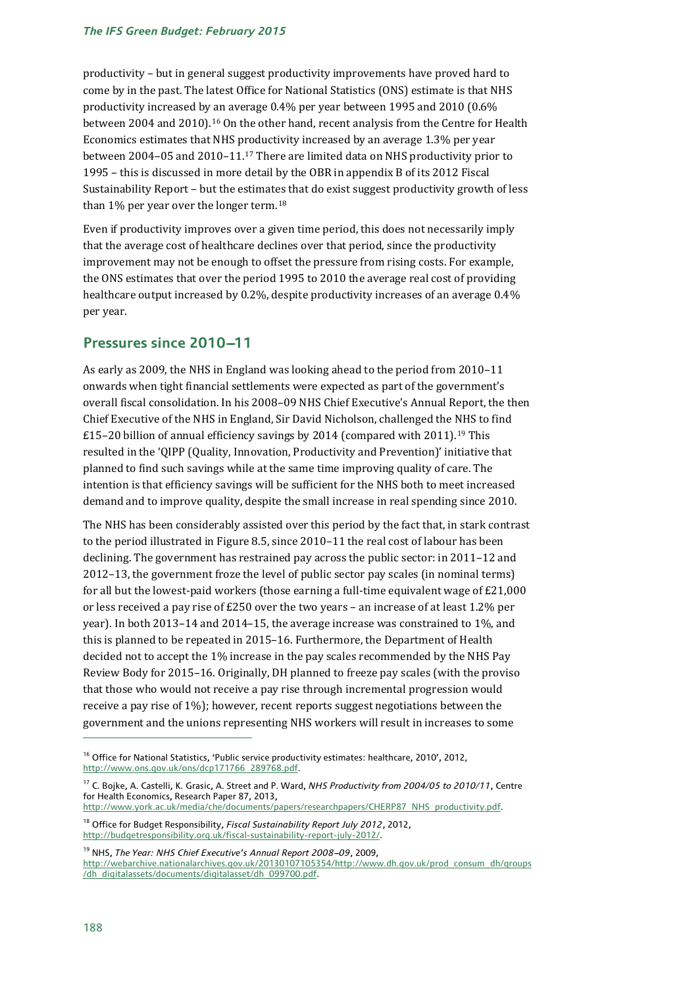productivity – but in general suggest productivity improvements have proved hard to come by in the past. The latest Office for National Statistics (ONS) estimate is that NHS productivity increased by an average 0.4% per year between 1995 and 2010 (0.6% between 2004 and 2010).[16](#page-12-0) On the other hand, recent analysis from the Centre for Health Economics estimates that NHS productivity increased by an average 1.3% per year between 2004–05 and 2010–11.[17](#page-12-1) There are limited data on NHS productivity prior to 1995 – this is discussed in more detail by the OBR in appendix B of its 2012 Fiscal Sustainability Report – but the estimates that do exist suggest productivity growth of less than 1% per year over the longer term.<sup>[18](#page-12-2)</sup>

Even if productivity improves over a given time period, this does not necessarily imply that the average cost of healthcare declines over that period, since the productivity improvement may not be enough to offset the pressure from rising costs. For example, the ONS estimates that over the period 1995 to 2010 the average real cost of providing healthcare output increased by 0.2%, despite productivity increases of an average 0.4% per year.

## **Pressures since 2010-11**

As early as 2009, the NHS in England was looking ahead to the period from 2010–11 onwards when tight financial settlements were expected as part of the government's overall fiscal consolidation. In his 2008–09 NHS Chief Executive's Annual Report, the then Chief Executive of the NHS in England, Sir David Nicholson, challenged the NHS to find £15–20 billion of annual efficiency savings by 2014 (compared with 2011).[19](#page-12-3) This resulted in the 'QIPP (Quality, Innovation, Productivity and Prevention)' initiative that planned to find such savings while at the same time improving quality of care. The intention is that efficiency savings will be sufficient for the NHS both to meet increased demand and to improve quality, despite the small increase in real spending since 2010.

The NHS has been considerably assisted over this period by the fact that, in stark contrast to the period illustrated in Figure 8.5, since 2010–11 the real cost of labour has been declining. The government has restrained pay across the public sector: in 2011–12 and 2012–13, the government froze the level of public sector pay scales (in nominal terms) for all but the lowest-paid workers (those earning a full-time equivalent wage of  $E21,000$ or less received a pay rise of £250 over the two years – an increase of at least 1.2% per year). In both 2013–14 and 2014–15, the average increase was constrained to 1%, and this is planned to be repeated in 2015–16. Furthermore, the Department of Health decided not to accept the 1% increase in the pay scales recommended by the NHS Pay Review Body for 2015–16. Originally, DH planned to freeze pay scales (with the proviso that those who would not receive a pay rise through incremental progression would receive a pay rise of 1%); however, recent reports suggest negotiations between the government and the unions representing NHS workers will result in increases to some

[http://www.york.ac.uk/media/che/documents/papers/researchpapers/CHERP87\\_NHS\\_productivity.pdf.](http://www.york.ac.uk/media/che/documents/papers/researchpapers/CHERP87_NHS_productivity.pdf)

<span id="page-12-0"></span><sup>&</sup>lt;sup>16</sup> Office for National Statistics, 'Public service productivity estimates: healthcare, 2010', 2012, [http://www.ons.gov.uk/ons/dcp171766\\_289768.pdf.](http://www.ons.gov.uk/ons/dcp171766_289768.pdf)

<span id="page-12-1"></span><sup>17</sup> C. Bojke, A. Castelli, K. Grasic, A. Street and P. Ward, *NHS Productivity from 2004/05 to 2010/11*, Centre for Health Economics, Research Paper 87, 2013,

<span id="page-12-2"></span><sup>18</sup> Office for Budget Responsibility, *Fiscal Sustainability Report July 2012*, 2012, [http://budgetresponsibility.org.uk/fiscal-sustainability-report-july-2012/.](http://budgetresponsibility.org.uk/fiscal-sustainability-report-july-2012/)

<span id="page-12-3"></span><sup>&</sup>lt;sup>19</sup> NHS, *The Year: NHS Chief Executive's Annual Report 2008-09*, 2009, [http://webarchive.nationalarchives.gov.uk/20130107105354/http://www.dh.gov.uk/prod\\_consum\\_dh/groups](http://webarchive.nationalarchives.gov.uk/20130107105354/http:/www.dh.gov.uk/prod_consum_dh/groups/dh_digitalassets/documents/digitalasset/dh_099700.pdf) [/dh\\_digitalassets/documents/digitalasset/dh\\_099700.pdf.](http://webarchive.nationalarchives.gov.uk/20130107105354/http:/www.dh.gov.uk/prod_consum_dh/groups/dh_digitalassets/documents/digitalasset/dh_099700.pdf)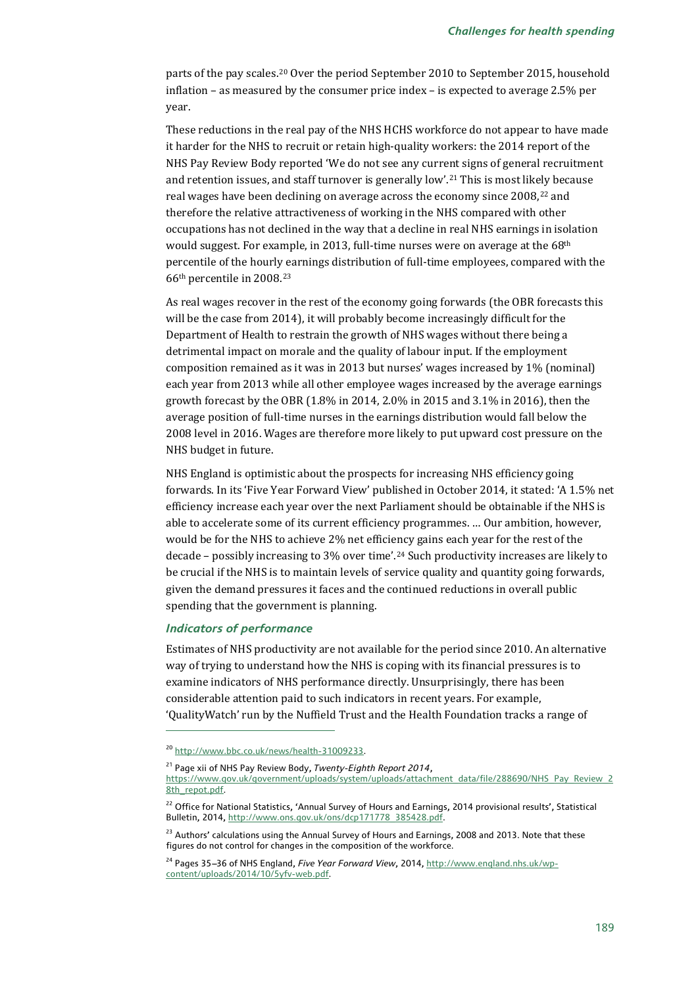parts of the pay scales.[20](#page-13-0) Over the period September 2010 to September 2015, household inflation – as measured by the consumer price index – is expected to average 2.5% per year.

These reductions in the real pay of the NHS HCHS workforce do not appear to have made it harder for the NHS to recruit or retain high-quality workers: the 2014 report of the NHS Pay Review Body reported 'We do not see any current signs of general recruitment and retention issues, and staff turnover is generally low'.[21](#page-13-1) This is most likely because real wages have been declining on average across the economy since 2008,<sup>[22](#page-13-2)</sup> and therefore the relative attractiveness of working in the NHS compared with other occupations has not declined in the way that a decline in real NHS earnings in isolation would suggest. For example, in 2013, full-time nurses were on average at the 68th percentile of the hourly earnings distribution of full-time employees, compared with the 66th percentile in 2008.[23](#page-13-3)

As real wages recover in the rest of the economy going forwards (the OBR forecasts this will be the case from 2014), it will probably become increasingly difficult for the Department of Health to restrain the growth of NHS wages without there being a detrimental impact on morale and the quality of labour input. If the employment composition remained as it was in 2013 but nurses' wages increased by 1% (nominal) each year from 2013 while all other employee wages increased by the average earnings growth forecast by the OBR (1.8% in 2014, 2.0% in 2015 and 3.1% in 2016), then the average position of full-time nurses in the earnings distribution would fall below the 2008 level in 2016. Wages are therefore more likely to put upward cost pressure on the NHS budget in future.

NHS England is optimistic about the prospects for increasing NHS efficiency going forwards. In its 'Five Year Forward View' published in October 2014, it stated: 'A 1.5% net efficiency increase each year over the next Parliament should be obtainable if the NHS is able to accelerate some of its current efficiency programmes. … Our ambition, however, would be for the NHS to achieve 2% net efficiency gains each year for the rest of the decade – possibly increasing to 3% over time'.[24](#page-13-4) Such productivity increases are likely to be crucial if the NHS is to maintain levels of service quality and quantity going forwards, given the demand pressures it faces and the continued reductions in overall public spending that the government is planning.

#### *Indicators of performance*

j

Estimates of NHS productivity are not available for the period since 2010. An alternative way of trying to understand how the NHS is coping with its financial pressures is to examine indicators of NHS performance directly. Unsurprisingly, there has been considerable attention paid to such indicators in recent years. For example, 'QualityWatch' run by the Nuffield Trust and the Health Foundation tracks a range of

<span id="page-13-1"></span><sup>21</sup> Page xii of NHS Pay Review Body, *Twenty-Eighth Report 2014*,

[https://www.gov.uk/government/uploads/system/uploads/attachment\\_data/file/288690/NHS\\_Pay\\_Review\\_2](https://www.gov.uk/government/uploads/system/uploads/attachment_data/file/288690/NHS_Pay_Review_28th_repot.pdf) [8th\\_repot.pdf.](https://www.gov.uk/government/uploads/system/uploads/attachment_data/file/288690/NHS_Pay_Review_28th_repot.pdf)

<span id="page-13-0"></span><sup>20</sup> [http://www.bbc.co.uk/news/health-31009233.](http://www.bbc.co.uk/news/health-31009233)

<span id="page-13-2"></span><sup>&</sup>lt;sup>22</sup> Office for National Statistics, 'Annual Survey of Hours and Earnings, 2014 provisional results', Statistical Bulletin, 2014[, http://www.ons.gov.uk/ons/dcp171778\\_385428.pdf.](http://www.ons.gov.uk/ons/dcp171778_385428.pdf) 

<span id="page-13-3"></span><sup>&</sup>lt;sup>23</sup> Authors' calculations using the Annual Survey of Hours and Earnings, 2008 and 2013. Note that these figures do not control for changes in the composition of the workforce.

<span id="page-13-4"></span><sup>&</sup>lt;sup>24</sup> Pages 35-36 of NHS England, *Five Year Forward View*, 2014, [http://www.england.nhs.uk/wp](http://www.england.nhs.uk/wp-content/uploads/2014/10/5yfv-web.pdf)[content/uploads/2014/10/5yfv-web.pdf.](http://www.england.nhs.uk/wp-content/uploads/2014/10/5yfv-web.pdf)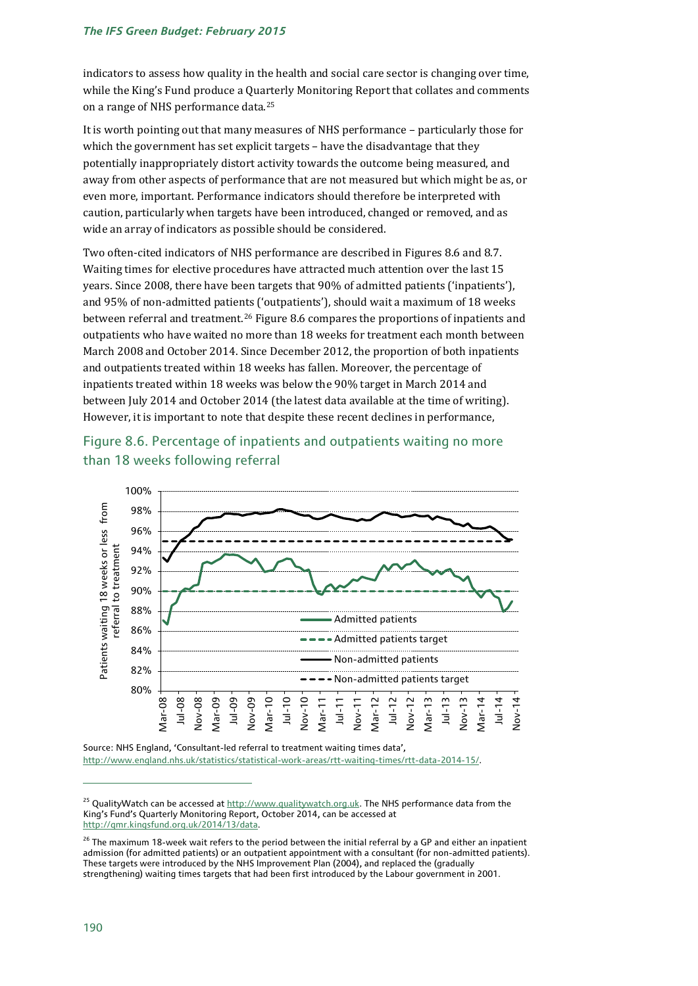#### *The IFS Green Budget: February 2015*

indicators to assess how quality in the health and social care sector is changing over time, while the King's Fund produce a Quarterly Monitoring Report that collates and comments on a range of NHS performance data.[25](#page-14-0)

It is worth pointing out that many measures of NHS performance – particularly those for which the government has set explicit targets – have the disadvantage that they potentially inappropriately distort activity towards the outcome being measured, and away from other aspects of performance that are not measured but which might be as, or even more, important. Performance indicators should therefore be interpreted with caution, particularly when targets have been introduced, changed or removed, and as wide an array of indicators as possible should be considered.

Two often-cited indicators of NHS performance are described in Figures 8.6 and 8.7. Waiting times for elective procedures have attracted much attention over the last 15 years. Since 2008, there have been targets that 90% of admitted patients ('inpatients'), and 95% of non-admitted patients ('outpatients'), should wait a maximum of 18 weeks between referral and treatment.[26](#page-14-1) Figure 8.6 compares the proportions of inpatients and outpatients who have waited no more than 18 weeks for treatment each month between March 2008 and October 2014. Since December 2012, the proportion of both inpatients and outpatients treated within 18 weeks has fallen. Moreover, the percentage of inpatients treated within 18 weeks was below the 90% target in March 2014 and between July 2014 and October 2014 (the latest data available at the time of writing). However, it is important to note that despite these recent declines in performance,

![](_page_14_Figure_4.jpeg)

Figure 8.6. Percentage of inpatients and outpatients waiting no more than 18 weeks following referral

Source: NHS England, 'Consultant-led referral to treatment waiting times data', [http://www.england.nhs.uk/statistics/statistical-work-areas/rtt-waiting-times/rtt-data-2014-15/.](http://www.england.nhs.uk/statistics/statistical-work-areas/rtt-waiting-times/rtt-data-2014-15/)

<span id="page-14-0"></span><sup>&</sup>lt;sup>25</sup> QualityWatch can be accessed at http:/[/www.qualitywatch.org.uk.](http://www.qualitywatch.org.uk/) The NHS performance data from the King's Fund's Quarterly Monitoring Report, October 2014, can be accessed at [http://qmr.kingsfund.org.uk/2014/13/data.](http://qmr.kingsfund.org.uk/2014/13/data)

<span id="page-14-1"></span> $26$  The maximum 18-week wait refers to the period between the initial referral by a GP and either an inpatient admission (for admitted patients) or an outpatient appointment with a consultant (for non-admitted patients). These targets were introduced by the NHS Improvement Plan (2004), and replaced the (gradually strengthening) waiting times targets that had been first introduced by the Labour government in 2001.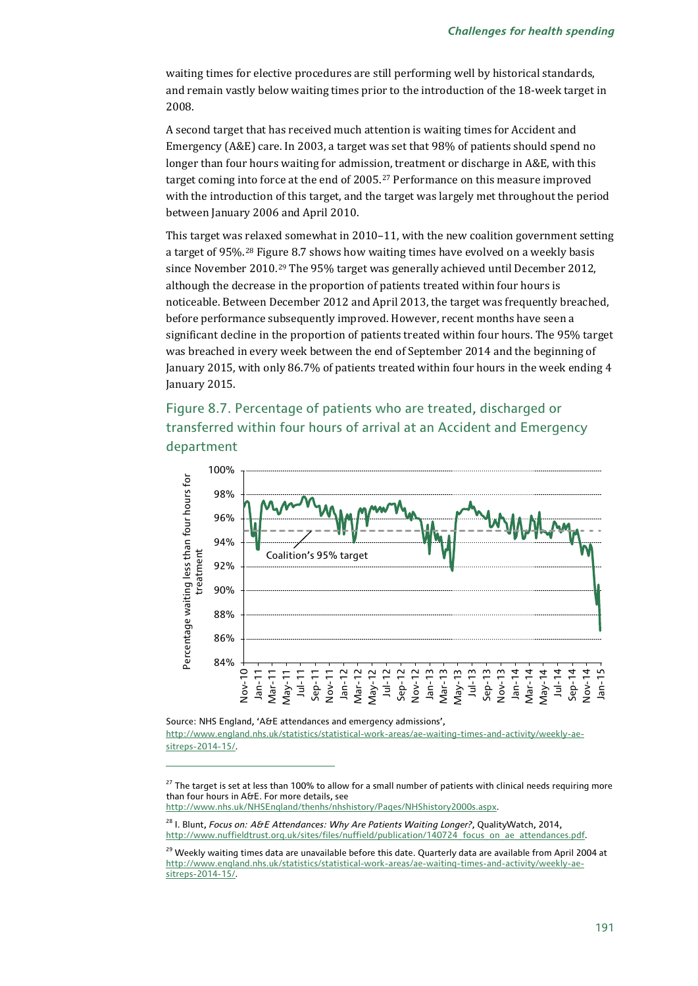waiting times for elective procedures are still performing well by historical standards, and remain vastly below waiting times prior to the introduction of the 18-week target in 2008.

A second target that has received much attention is waiting times for Accident and Emergency (A&E) care. In 2003, a target was set that 98% of patients should spend no longer than four hours waiting for admission, treatment or discharge in A&E, with this target coming into force at the end of 2005.[27](#page-15-0) Performance on this measure improved with the introduction of this target, and the target was largely met throughout the period between January 2006 and April 2010.

This target was relaxed somewhat in 2010–11, with the new coalition government setting a target of 95%.[28](#page-15-1) Figure 8.7 shows how waiting times have evolved on a weekly basis since November 2010.[29](#page-15-2) The 95% target was generally achieved until December 2012, although the decrease in the proportion of patients treated within four hours is noticeable. Between December 2012 and April 2013, the target was frequently breached, before performance subsequently improved. However, recent months have seen a significant decline in the proportion of patients treated within four hours. The 95% target was breached in every week between the end of September 2014 and the beginning of January 2015, with only 86.7% of patients treated within four hours in the week ending 4 January 2015.

## Figure 8.7. Percentage of patients who are treated, discharged or transferred within four hours of arrival at an Accident and Emergency department

![](_page_15_Figure_5.jpeg)

Source: NHS England, 'A&E attendances and emergency admissions',

j

[http://www.england.nhs.uk/statistics/statistical-work-areas/ae-waiting-times-and-activity/weekly-ae](http://www.england.nhs.uk/statistics/statistical-work-areas/ae-waiting-times-and-activity/weekly-ae-sitreps-2014-15/)[sitreps-2014-15/.](http://www.england.nhs.uk/statistics/statistical-work-areas/ae-waiting-times-and-activity/weekly-ae-sitreps-2014-15/)

[http://www.nhs.uk/NHSEngland/thenhs/nhshistory/Pages/NHShistory2000s.aspx.](http://www.nhs.uk/NHSEngland/thenhs/nhshistory/Pages/NHShistory2000s.aspx)

<span id="page-15-0"></span><sup>&</sup>lt;sup>27</sup> The target is set at less than 100% to allow for a small number of patients with clinical needs requiring more than four hours in A&E. For more details, see

<span id="page-15-1"></span><sup>28</sup> I. Blunt, *Focus on: A&E Attendances: Why Are Patients Waiting Longer?*, QualityWatch, 2014, [http://www.nuffieldtrust.org.uk/sites/files/nuffield/publication/140724\\_focus\\_on\\_ae\\_attendances.pdf.](http://www.nuffieldtrust.org.uk/sites/files/nuffield/publication/140724_focus_on_ae_attendances.pdf)

<span id="page-15-2"></span><sup>&</sup>lt;sup>29</sup> Weekly waiting times data are unavailable before this date. Quarterly data are available from April 2004 at [http://www.england.nhs.uk/statistics/statistical-work-areas/ae-waiting-times-and-activity/weekly-ae](http://www.england.nhs.uk/statistics/statistical-work-areas/ae-waiting-times-and-activity/weekly-ae-sitreps-2014-15/)[sitreps-2014-15/.](http://www.england.nhs.uk/statistics/statistical-work-areas/ae-waiting-times-and-activity/weekly-ae-sitreps-2014-15/)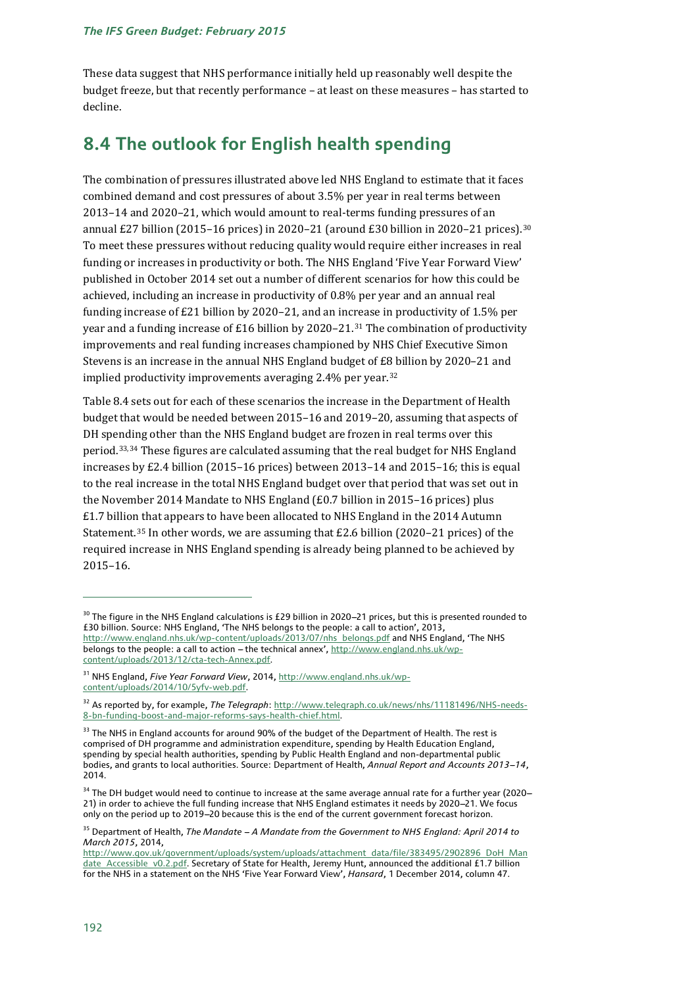These data suggest that NHS performance initially held up reasonably well despite the budget freeze, but that recently performance – at least on these measures – has started to decline.

## **8.4 The outlook for English health spending**

The combination of pressures illustrated above led NHS England to estimate that it faces combined demand and cost pressures of about 3.5% per year in real terms between 2013–14 and 2020–21, which would amount to real-terms funding pressures of an annual £27 billion (2015–16 prices) in 2020–21 (around £[30](#page-16-0) billion in 2020–21 prices).<sup>30</sup> To meet these pressures without reducing quality would require either increases in real funding or increases in productivity or both. The NHS England 'Five Year Forward View' published in October 2014 set out a number of different scenarios for how this could be achieved, including an increase in productivity of 0.8% per year and an annual real funding increase of £21 billion by 2020–21, and an increase in productivity of 1.5% per year and a funding increase of £16 billion by 2020–21.<sup>[31](#page-16-1)</sup> The combination of productivity improvements and real funding increases championed by NHS Chief Executive Simon Stevens is an increase in the annual NHS England budget of £8 billion by 2020–21 and implied productivity improvements averaging 2.4% per year.<sup>[32](#page-16-2)</sup>

Table 8.4 sets out for each of these scenarios the increase in the Department of Health budget that would be needed between 2015–16 and 2019–20, assuming that aspects of DH spending other than the NHS England budget are frozen in real terms over this period.[33,](#page-16-3)[34](#page-16-4) These figures are calculated assuming that the real budget for NHS England increases by £2.4 billion (2015–16 prices) between 2013–14 and 2015–16; this is equal to the real increase in the total NHS England budget over that period that was set out in the November 2014 Mandate to NHS England (£0.7 billion in 2015–16 prices) plus £1.7 billion that appears to have been allocated to NHS England in the 2014 Autumn Statement.<sup>[35](#page-16-5)</sup> In other words, we are assuming that  $E2.6$  billion (2020–21 prices) of the required increase in NHS England spending is already being planned to be achieved by 2015–16.

<span id="page-16-0"></span> $30$  The figure in the NHS England calculations is £29 billion in 2020–21 prices, but this is presented rounded to £30 billion. Source: NHS England, 'The NHS belongs to the people: a call to action', 2013, [http://www.england.nhs.uk/wp-content/uploads/2013/07/nhs\\_belongs.pdf](http://www.england.nhs.uk/wp-content/uploads/2013/07/nhs_belongs.pdf) and NHS England, 'The NHS belongs to the people: a call to action - the technical annex'[, http://www.england.nhs.uk/wp](http://www.england.nhs.uk/wp-content/uploads/2013/12/cta-tech-Annex.pdf)[content/uploads/2013/12/cta-tech-Annex.pdf.](http://www.england.nhs.uk/wp-content/uploads/2013/12/cta-tech-Annex.pdf) 

<span id="page-16-1"></span><sup>31</sup> NHS England, *Five Year Forward View*, 2014[, http://www.england.nhs.uk/wp](http://www.england.nhs.uk/wp-content/uploads/2014/10/5yfv-web.pdf)[content/uploads/2014/10/5yfv-web.pdf.](http://www.england.nhs.uk/wp-content/uploads/2014/10/5yfv-web.pdf)

<span id="page-16-2"></span><sup>32</sup> As reported by, for example, *The Telegraph*: [http://www.telegraph.co.uk/news/nhs/11181496/NHS-needs-](http://www.telegraph.co.uk/news/nhs/11181496/NHS-needs-8-bn-funding-boost-and-major-reforms-says-health-chief.html)[8-bn-funding-boost-and-major-reforms-says-health-chief.html.](http://www.telegraph.co.uk/news/nhs/11181496/NHS-needs-8-bn-funding-boost-and-major-reforms-says-health-chief.html)

<span id="page-16-3"></span><sup>&</sup>lt;sup>33</sup> The NHS in England accounts for around 90% of the budget of the Department of Health. The rest is comprised of DH programme and administration expenditure, spending by Health Education England, spending by special health authorities, spending by Public Health England and non-departmental public bodies, and grants to local authorities. Source: Department of Health, *Annual Report and Accounts 2013--14*, 2014.

<span id="page-16-4"></span> $34$  The DH budget would need to continue to increase at the same average annual rate for a further year (2020– 21) in order to achieve the full funding increase that NHS England estimates it needs by 2020-21. We focus only on the period up to 2019-20 because this is the end of the current government forecast horizon.

<span id="page-16-5"></span><sup>&</sup>lt;sup>35</sup> Department of Health, *The Mandate - A Mandate from the Government to NHS England: April 2014 to March 2015*, 2014,

http:/[/www.gov.uk/government/uploads/system/uploads/attachment\\_data/file/383495/2902896\\_DoH\\_Man](http://www.gov.uk/government/uploads/system/uploads/attachment_data/file/383495/2902896_DoH_Mandate_Accessible_v0.2.pdf) [date\\_Accessible\\_v0.2.pdf.](http://www.gov.uk/government/uploads/system/uploads/attachment_data/file/383495/2902896_DoH_Mandate_Accessible_v0.2.pdf) Secretary of State for Health, Jeremy Hunt, announced the additional £1.7 billion for the NHS in a statement on the NHS 'Five Year Forward View', *Hansard*, 1 December 2014, column 47.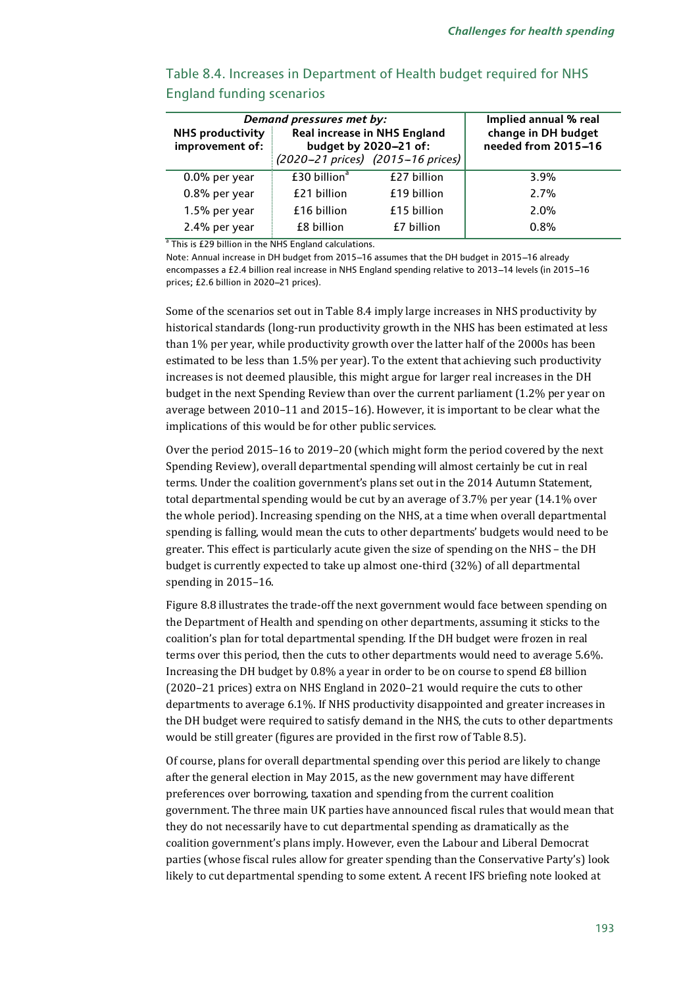| <b>NHS productivity</b><br>improvement of: | Demand pressures met by: | Real increase in NHS England<br>budget by 2020-21 of: | Implied annual % real<br>change in DH budget<br>needed from 2015-16 |
|--------------------------------------------|--------------------------|-------------------------------------------------------|---------------------------------------------------------------------|
|                                            |                          | (2020-21 prices) (2015-16 prices)                     |                                                                     |
| 0.0% per year                              | £30 billion <sup>a</sup> | £27 billion                                           | $3.9\%$                                                             |
| 0.8% per year                              | £21 billion              | £19 billion                                           | 2.7%                                                                |
| 1.5% per year                              | £16 billion              | £15 billion                                           | $2.0\%$                                                             |
| 2.4% per year                              | £8 billion               | £7 billion                                            | 0.8%                                                                |

## Table 8.4. Increases in Department of Health budget required for NHS England funding scenarios

 $a$ <sup>n</sup> This is £29 billion in the NHS England calculations.

Note: Annual increase in DH budget from 2015-16 assumes that the DH budget in 2015-16 already encompasses a £2.4 billion real increase in NHS England spending relative to 2013-14 levels (in 2015-16 prices: £2.6 billion in 2020-21 prices).

Some of the scenarios set out in Table 8.4 imply large increases in NHS productivity by historical standards (long-run productivity growth in the NHS has been estimated at less than 1% per year, while productivity growth over the latter half of the 2000s has been estimated to be less than 1.5% per year). To the extent that achieving such productivity increases is not deemed plausible, this might argue for larger real increases in the DH budget in the next Spending Review than over the current parliament (1.2% per year on average between 2010–11 and 2015–16). However, it is important to be clear what the implications of this would be for other public services.

Over the period 2015–16 to 2019–20 (which might form the period covered by the next Spending Review), overall departmental spending will almost certainly be cut in real terms. Under the coalition government's plans set out in the 2014 Autumn Statement, total departmental spending would be cut by an average of 3.7% per year (14.1% over the whole period). Increasing spending on the NHS, at a time when overall departmental spending is falling, would mean the cuts to other departments' budgets would need to be greater. This effect is particularly acute given the size of spending on the NHS – the DH budget is currently expected to take up almost one-third (32%) of all departmental spending in 2015–16.

Figure 8.8 illustrates the trade-off the next government would face between spending on the Department of Health and spending on other departments, assuming it sticks to the coalition's plan for total departmental spending. If the DH budget were frozen in real terms over this period, then the cuts to other departments would need to average 5.6%. Increasing the DH budget by 0.8% a year in order to be on course to spend £8 billion (2020–21 prices) extra on NHS England in 2020–21 would require the cuts to other departments to average 6.1%. If NHS productivity disappointed and greater increases in the DH budget were required to satisfy demand in the NHS, the cuts to other departments would be still greater (figures are provided in the first row of Table 8.5).

Of course, plans for overall departmental spending over this period are likely to change after the general election in May 2015, as the new government may have different preferences over borrowing, taxation and spending from the current coalition government. The three main UK parties have announced fiscal rules that would mean that they do not necessarily have to cut departmental spending as dramatically as the coalition government's plans imply. However, even the Labour and Liberal Democrat parties (whose fiscal rules allow for greater spending than the Conservative Party's) look likely to cut departmental spending to some extent. A recent IFS briefing note looked at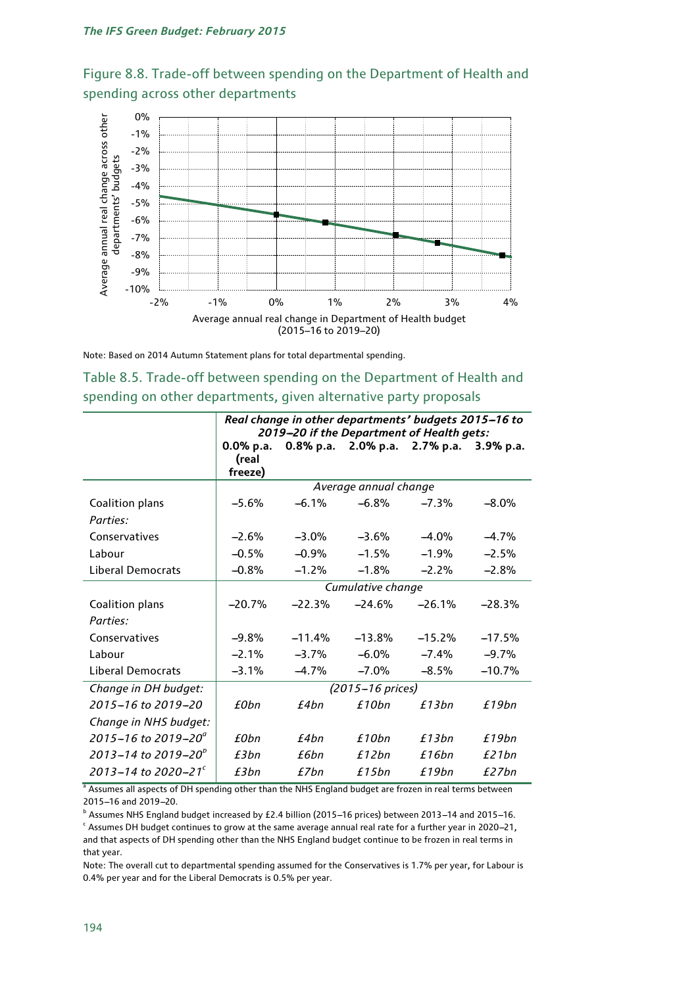![](_page_18_Figure_1.jpeg)

![](_page_18_Figure_2.jpeg)

Note: Based on 2014 Autumn Statement plans for total departmental spending.

| Table 8.5. Trade-off between spending on the Department of Health and |  |
|-----------------------------------------------------------------------|--|
| spending on other departments, given alternative party proposals      |  |

|                                 | Real change in other departments' budgets 2015-16 to<br>2019-20 if the Department of Health gets: |          |                       |          |          |  |
|---------------------------------|---------------------------------------------------------------------------------------------------|----------|-----------------------|----------|----------|--|
|                                 | 0.8% p.a. 2.0% p.a. 2.7% p.a.<br>$0.0\%$ p.a.<br>3.9% p.a.                                        |          |                       |          |          |  |
|                                 | (real                                                                                             |          |                       |          |          |  |
|                                 | freeze)                                                                                           |          |                       |          |          |  |
|                                 |                                                                                                   |          | Average annual change |          |          |  |
| Coalition plans                 | $-5.6%$                                                                                           | $-6.1%$  | $-6.8%$               | $-7.3%$  | $-8.0%$  |  |
| Parties:                        |                                                                                                   |          |                       |          |          |  |
| Conservatives                   | $-2.6%$                                                                                           | $-3.0%$  | $-3.6\%$              | $-4.0\%$ | $-4.7%$  |  |
| Labour                          | $-0.5%$                                                                                           | $-0.9%$  | $-1.5%$               | $-1.9%$  | $-2.5%$  |  |
| <b>Liberal Democrats</b>        | $-0.8%$                                                                                           | $-1.2%$  | $-1.8%$               | $-2.2%$  | $-2.8%$  |  |
|                                 | Cumulative change                                                                                 |          |                       |          |          |  |
| Coalition plans                 | $-20.7%$                                                                                          | $-22.3%$ | $-24.6%$              | $-26.1%$ | $-28.3%$ |  |
| Parties:                        |                                                                                                   |          |                       |          |          |  |
| Conservatives                   | $-9.8%$                                                                                           | $-11.4%$ | $-13.8%$              | $-15.2%$ | $-17.5%$ |  |
| Labour                          | $-2.1%$                                                                                           | $-3.7%$  | $-6.0\%$              | $-7.4\%$ | $-9.7%$  |  |
| <b>Liberal Democrats</b>        | $-3.1%$                                                                                           | $-4.7%$  | $-7.0\%$              | $-8.5\%$ | $-10.7%$ |  |
| Change in DH budget:            | (2015–16 prices)                                                                                  |          |                       |          |          |  |
| 2015-16 to 2019-20              | £0bn                                                                                              | £4bn     | £10bn                 | £13bn    | £19bn    |  |
| Change in NHS budget:           |                                                                                                   |          |                       |          |          |  |
| 2015-16 to 2019-20 $^{\circ}$   | £0bn                                                                                              | £4bn     | £10bn                 | £13bn    | £19bn    |  |
| $2013 - 14$ to $2019 - 20^{b}$  | f3hn                                                                                              | f 6hn    | f12bn                 | £16bn    | f21bn    |  |
| 2013–14 to 2020–21 <sup>c</sup> | £3bn                                                                                              | £7bn     | £15bn                 | £19bn    | f27bn    |  |

Assumes all aspects of DH spending other than the NHS England budget are frozen in real terms between 2015-16 and 2019-20.

 $b$  Assumes NHS England budget increased by £2.4 billion (2015-16 prices) between 2013-14 and 2015-16.  $\cdot$  Assumes DH budget continues to grow at the same average annual real rate for a further year in 2020-21, and that aspects of DH spending other than the NHS England budget continue to be frozen in real terms in that year.

Note: The overall cut to departmental spending assumed for the Conservatives is 1.7% per year, for Labour is 0.4% per year and for the Liberal Democrats is 0.5% per year.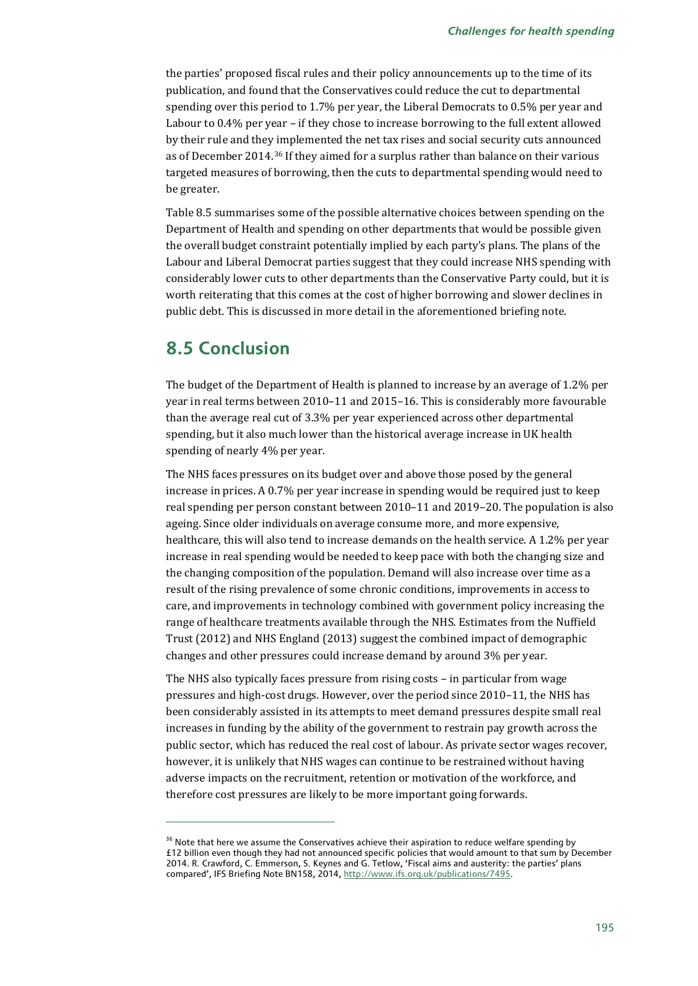the parties' proposed fiscal rules and their policy announcements up to the time of its publication, and found that the Conservatives could reduce the cut to departmental spending over this period to 1.7% per year, the Liberal Democrats to 0.5% per year and Labour to 0.4% per year – if they chose to increase borrowing to the full extent allowed by their rule and they implemented the net tax rises and social security cuts announced as of December 2014.[36](#page-19-0) If they aimed for a surplus rather than balance on their various targeted measures of borrowing, then the cuts to departmental spending would need to be greater.

Table 8.5 summarises some of the possible alternative choices between spending on the Department of Health and spending on other departments that would be possible given the overall budget constraint potentially implied by each party's plans. The plans of the Labour and Liberal Democrat parties suggest that they could increase NHS spending with considerably lower cuts to other departments than the Conservative Party could, but it is worth reiterating that this comes at the cost of higher borrowing and slower declines in public debt. This is discussed in more detail in the aforementioned briefing note.

## **8.5 Conclusion**

j

The budget of the Department of Health is planned to increase by an average of 1.2% per year in real terms between 2010–11 and 2015–16. This is considerably more favourable than the average real cut of 3.3% per year experienced across other departmental spending, but it also much lower than the historical average increase in UK health spending of nearly 4% per year.

The NHS faces pressures on its budget over and above those posed by the general increase in prices. A 0.7% per year increase in spending would be required just to keep real spending per person constant between 2010–11 and 2019–20. The population is also ageing. Since older individuals on average consume more, and more expensive, healthcare, this will also tend to increase demands on the health service. A 1.2% per year increase in real spending would be needed to keep pace with both the changing size and the changing composition of the population. Demand will also increase over time as a result of the rising prevalence of some chronic conditions, improvements in access to care, and improvements in technology combined with government policy increasing the range of healthcare treatments available through the NHS. Estimates from the Nuffield Trust (2012) and NHS England (2013) suggest the combined impact of demographic changes and other pressures could increase demand by around 3% per year.

The NHS also typically faces pressure from rising costs – in particular from wage pressures and high-cost drugs. However, over the period since 2010–11, the NHS has been considerably assisted in its attempts to meet demand pressures despite small real increases in funding by the ability of the government to restrain pay growth across the public sector, which has reduced the real cost of labour. As private sector wages recover, however, it is unlikely that NHS wages can continue to be restrained without having adverse impacts on the recruitment, retention or motivation of the workforce, and therefore cost pressures are likely to be more important going forwards.

<span id="page-19-0"></span><sup>&</sup>lt;sup>36</sup> Note that here we assume the Conservatives achieve their aspiration to reduce welfare spending by £12 billion even though they had not announced specific policies that would amount to that sum by December 2014. R. Crawford, C. Emmerson, S. Keynes and G. Tetlow, 'Fiscal aims and austerity: the parties' plans compared', IFS Briefing Note BN158, 2014[, http://www.ifs.org.uk/publications/7495.](http://www.ifs.org.uk/publications/7495)